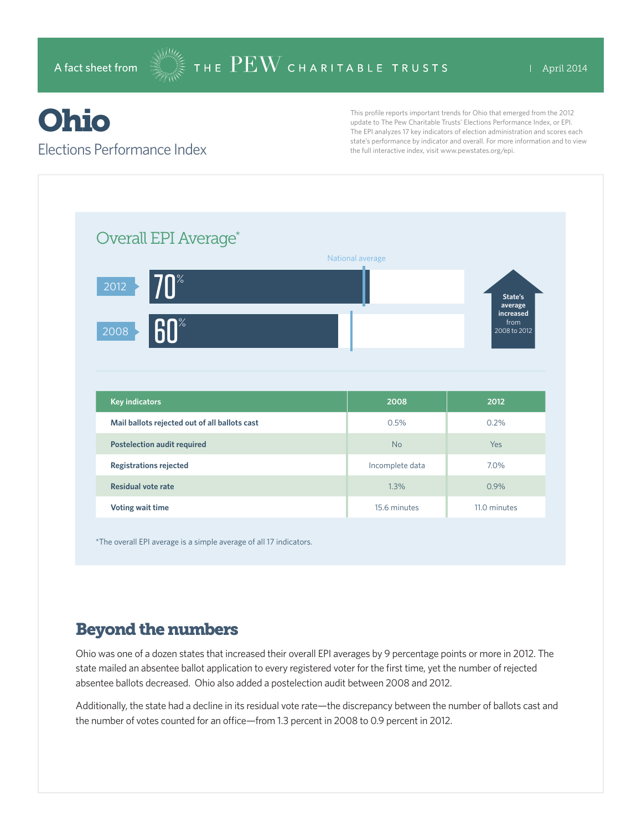# Ohio

#### Elections Performance Index

This profile reports important trends for Ohio that emerged from the 2012 update to The Pew Charitable Trusts' Elections Performance Index, or EPI. The EPI analyzes 17 key indicators of election administration and scores each state's performance by indicator and overall. For more information and to view the full interactive index, visit www.pewstates.org/epi.

| Overall EPI Average*                          | National average |                                                         |
|-----------------------------------------------|------------------|---------------------------------------------------------|
| $70^{\circ}$<br>2012<br>60<br>2008            |                  | State's<br>average<br>increased<br>from<br>2008 to 2012 |
|                                               |                  |                                                         |
| <b>Key indicators</b>                         | 2008             | 2012                                                    |
| Mail ballots rejected out of all ballots cast | 0.5%             | 0.2%                                                    |
| <b>Postelection audit required</b>            | <b>No</b>        | Yes                                                     |
| <b>Registrations rejected</b>                 | Incomplete data  | 7.0%                                                    |
| <b>Residual vote rate</b>                     | 1.3%             | 0.9%                                                    |

\*The overall EPI average is a simple average of all 17 indicators.

### Beyond the numbers

Ohio was one of a dozen states that increased their overall EPI averages by 9 percentage points or more in 2012. The state mailed an absentee ballot application to every registered voter for the first time, yet the number of rejected absentee ballots decreased. Ohio also added a postelection audit between 2008 and 2012.

Additionally, the state had a decline in its residual vote rate—the discrepancy between the number of ballots cast and the number of votes counted for an office—from 1.3 percent in 2008 to 0.9 percent in 2012.